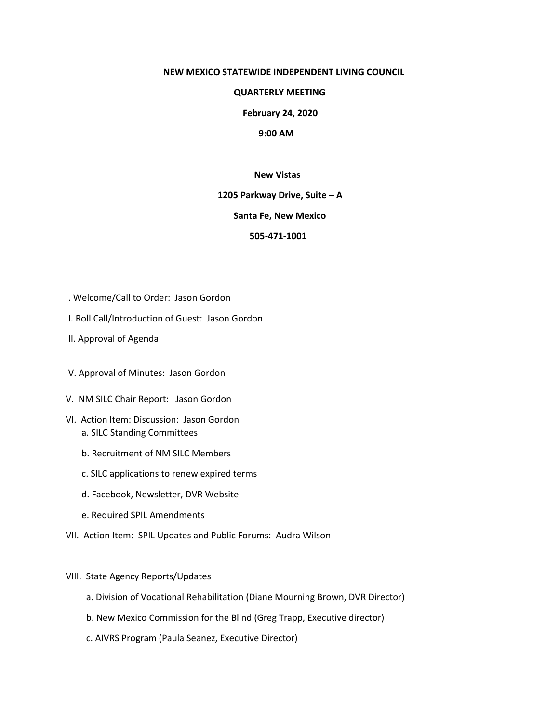#### **NEW MEXICO STATEWIDE INDEPENDENT LIVING COUNCIL**

### **QUARTERLY MEETING**

 **February 24, 2020**

# **9:00 AM**

### **New Vistas**

#### **1205 Parkway Drive, Suite – A**

# **Santa Fe, New Mexico**

## **505-471-1001**

- I. Welcome/Call to Order: Jason Gordon
- II. Roll Call/Introduction of Guest: Jason Gordon
- III. Approval of Agenda
- IV. Approval of Minutes: Jason Gordon
- V. NM SILC Chair Report: Jason Gordon
- VI. Action Item: Discussion: Jason Gordon a. SILC Standing Committees
	- b. Recruitment of NM SILC Members
	- c. SILC applications to renew expired terms
	- d. Facebook, Newsletter, DVR Website
	- e. Required SPIL Amendments
- VII. Action Item: SPIL Updates and Public Forums: Audra Wilson
- VIII. State Agency Reports/Updates
	- a. Division of Vocational Rehabilitation (Diane Mourning Brown, DVR Director)
	- b. New Mexico Commission for the Blind (Greg Trapp, Executive director)
	- c. AIVRS Program (Paula Seanez, Executive Director)